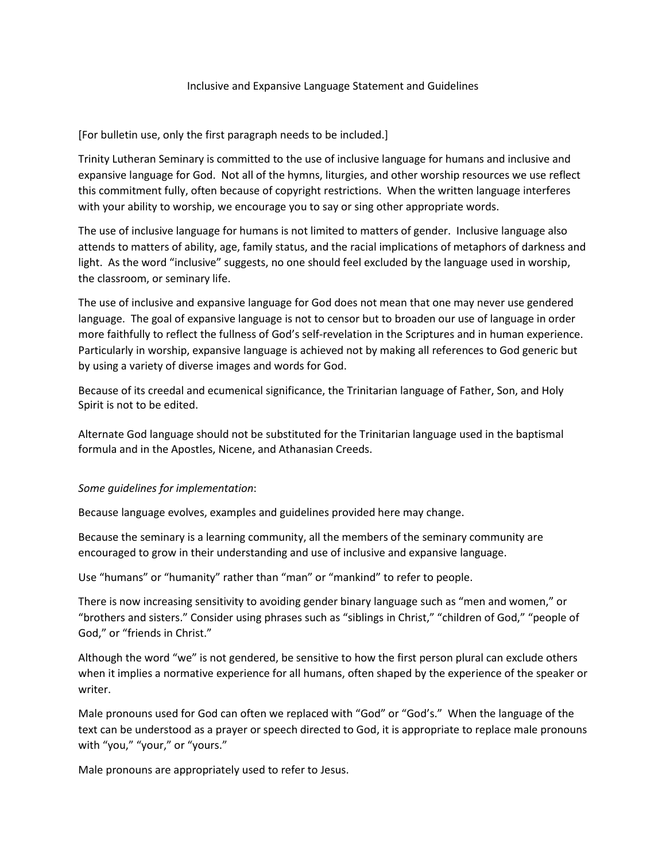## Inclusive and Expansive Language Statement and Guidelines

## [For bulletin use, only the first paragraph needs to be included.]

Trinity Lutheran Seminary is committed to the use of inclusive language for humans and inclusive and expansive language for God. Not all of the hymns, liturgies, and other worship resources we use reflect this commitment fully, often because of copyright restrictions. When the written language interferes with your ability to worship, we encourage you to say or sing other appropriate words.

The use of inclusive language for humans is not limited to matters of gender. Inclusive language also attends to matters of ability, age, family status, and the racial implications of metaphors of darkness and light. As the word "inclusive" suggests, no one should feel excluded by the language used in worship, the classroom, or seminary life.

The use of inclusive and expansive language for God does not mean that one may never use gendered language. The goal of expansive language is not to censor but to broaden our use of language in order more faithfully to reflect the fullness of God's self-revelation in the Scriptures and in human experience. Particularly in worship, expansive language is achieved not by making all references to God generic but by using a variety of diverse images and words for God.

Because of its creedal and ecumenical significance, the Trinitarian language of Father, Son, and Holy Spirit is not to be edited.

Alternate God language should not be substituted for the Trinitarian language used in the baptismal formula and in the Apostles, Nicene, and Athanasian Creeds.

## *Some guidelines for implementation*:

Because language evolves, examples and guidelines provided here may change.

Because the seminary is a learning community, all the members of the seminary community are encouraged to grow in their understanding and use of inclusive and expansive language.

Use "humans" or "humanity" rather than "man" or "mankind" to refer to people.

There is now increasing sensitivity to avoiding gender binary language such as "men and women," or "brothers and sisters." Consider using phrases such as "siblings in Christ," "children of God," "people of God," or "friends in Christ."

Although the word "we" is not gendered, be sensitive to how the first person plural can exclude others when it implies a normative experience for all humans, often shaped by the experience of the speaker or writer.

Male pronouns used for God can often we replaced with "God" or "God's." When the language of the text can be understood as a prayer or speech directed to God, it is appropriate to replace male pronouns with "you," "your," or "yours."

Male pronouns are appropriately used to refer to Jesus.